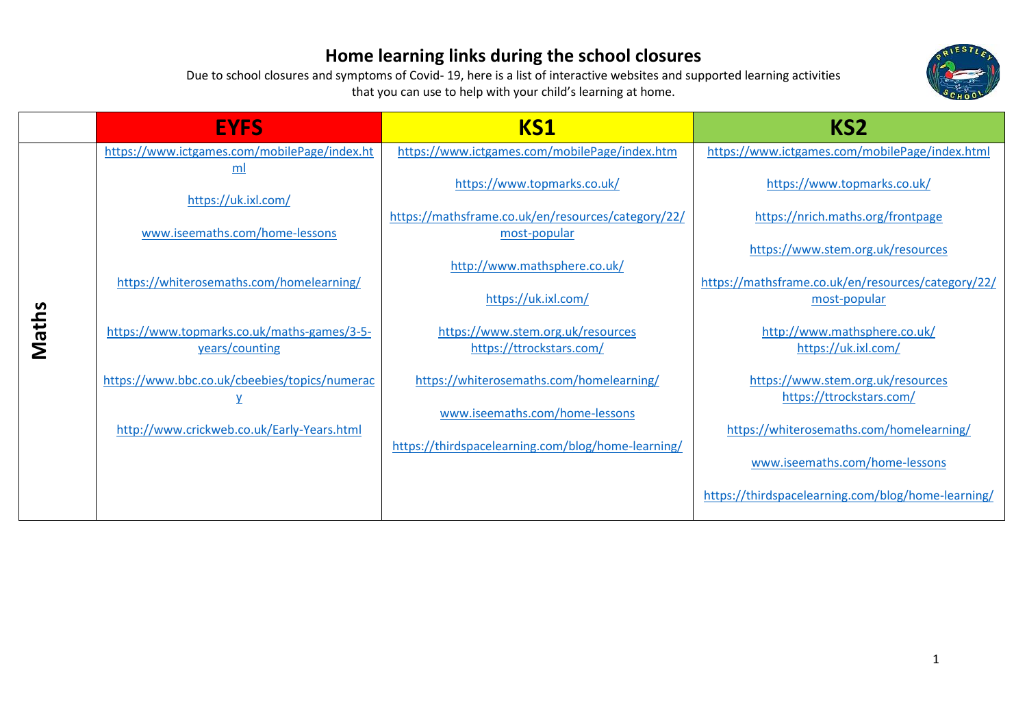

|       | <b>EYFS</b>                                                   | KS1                                                                                  | KS <sub>2</sub>                                                        |
|-------|---------------------------------------------------------------|--------------------------------------------------------------------------------------|------------------------------------------------------------------------|
|       | https://www.ictgames.com/mobilePage/index.ht<br>ml            | https://www.ictgames.com/mobilePage/index.htm                                        | https://www.ictgames.com/mobilePage/index.html                         |
|       | https://uk.ixl.com/                                           | https://www.topmarks.co.uk/                                                          | https://www.topmarks.co.uk/                                            |
|       | www.iseemaths.com/home-lessons                                | https://mathsframe.co.uk/en/resources/category/22/<br>most-popular                   | https://nrich.maths.org/frontpage<br>https://www.stem.org.uk/resources |
|       | https://whiterosemaths.com/homelearning/                      | http://www.mathsphere.co.uk/<br>https://uk.ixl.com/                                  | https://mathsframe.co.uk/en/resources/category/22/<br>most-popular     |
| Maths | https://www.topmarks.co.uk/maths-games/3-5-<br>years/counting | https://www.stem.org.uk/resources<br>https://ttrockstars.com/                        | http://www.mathsphere.co.uk/<br>https://uk.ixl.com/                    |
|       | https://www.bbc.co.uk/cbeebies/topics/numerac                 | https://whiterosemaths.com/homelearning/                                             | https://www.stem.org.uk/resources<br>https://ttrockstars.com/          |
|       | http://www.crickweb.co.uk/Early-Years.html                    | www.iseemaths.com/home-lessons<br>https://thirdspacelearning.com/blog/home-learning/ | https://whiterosemaths.com/homelearning/                               |
|       |                                                               |                                                                                      | www.iseemaths.com/home-lessons                                         |
|       |                                                               |                                                                                      | https://thirdspacelearning.com/blog/home-learning/                     |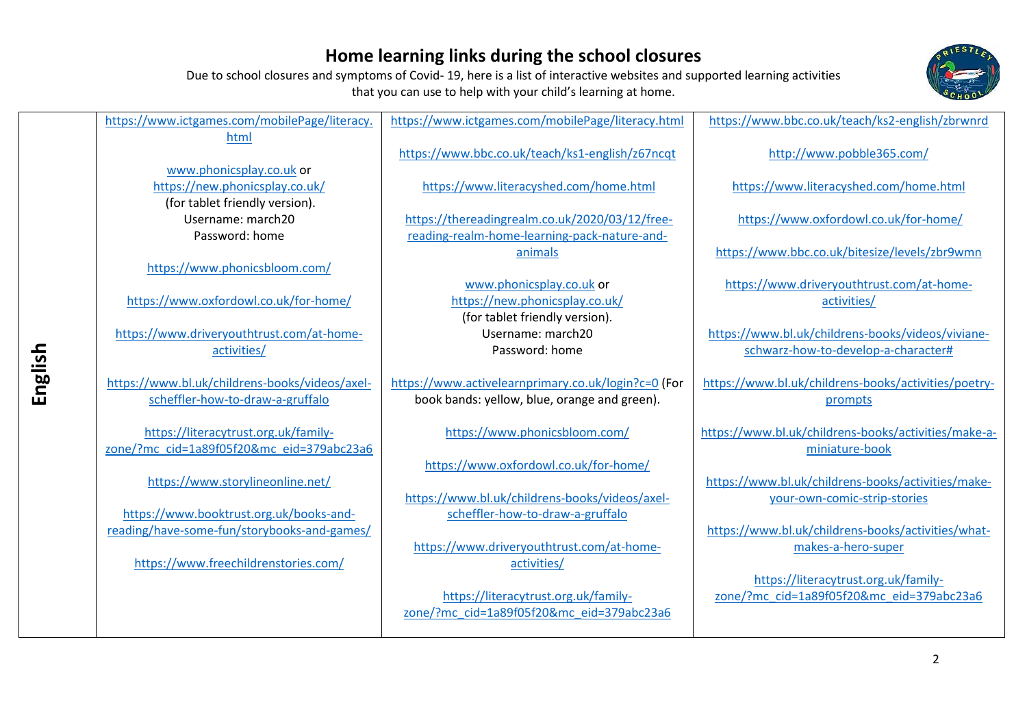Due to school closures and symptoms of Covid- 19, here is a list of interactive websites and supported learning activities that you can use to help with your child's learning at home.



| https://www.ictgames.com/mobilePage/literacy.  | https://www.ictgames.com/mobilePage/literacy.html   | https://www.bbc.co.uk/teach/ks2-english/zbrwnrd      |
|------------------------------------------------|-----------------------------------------------------|------------------------------------------------------|
| html                                           |                                                     |                                                      |
|                                                | https://www.bbc.co.uk/teach/ks1-english/z67ncqt     | http://www.pobble365.com/                            |
| www.phonicsplay.co.uk or                       |                                                     |                                                      |
| https://new.phonicsplay.co.uk/                 | https://www.literacyshed.com/home.html              | https://www.literacyshed.com/home.html               |
| (for tablet friendly version).                 |                                                     |                                                      |
|                                                |                                                     |                                                      |
| Username: march20                              | https://thereadingrealm.co.uk/2020/03/12/free-      | https://www.oxfordowl.co.uk/for-home/                |
| Password: home                                 | reading-realm-home-learning-pack-nature-and-        |                                                      |
|                                                | animals                                             | https://www.bbc.co.uk/bitesize/levels/zbr9wmn        |
| https://www.phonicsbloom.com/                  |                                                     |                                                      |
|                                                | www.phonicsplay.co.uk or                            | https://www.driveryouthtrust.com/at-home-            |
| https://www.oxfordowl.co.uk/for-home/          | https://new.phonicsplay.co.uk/                      | activities/                                          |
|                                                | (for tablet friendly version).                      |                                                      |
| https://www.driveryouthtrust.com/at-home-      | Username: march20                                   | https://www.bl.uk/childrens-books/videos/viviane-    |
|                                                | Password: home                                      |                                                      |
| activities/                                    |                                                     | schwarz-how-to-develop-a-character#                  |
|                                                |                                                     |                                                      |
| https://www.bl.uk/childrens-books/videos/axel- | https://www.activelearnprimary.co.uk/login?c=0 (For | https://www.bl.uk/childrens-books/activities/poetry- |
| scheffler-how-to-draw-a-gruffalo               | book bands: yellow, blue, orange and green).        | prompts                                              |
|                                                |                                                     |                                                      |
| https://literacytrust.org.uk/family-           | https://www.phonicsbloom.com/                       | https://www.bl.uk/childrens-books/activities/make-a- |
| zone/?mc cid=1a89f05f20&mc eid=379abc23a6      |                                                     | miniature-book                                       |
|                                                | https://www.oxfordowl.co.uk/for-home/               |                                                      |
| https://www.storylineonline.net/               |                                                     | https://www.bl.uk/childrens-books/activities/make-   |
|                                                | https://www.bl.uk/childrens-books/videos/axel-      | your-own-comic-strip-stories                         |
| https://www.booktrust.org.uk/books-and-        | scheffler-how-to-draw-a-gruffalo                    |                                                      |
|                                                |                                                     |                                                      |
| reading/have-some-fun/storybooks-and-games/    |                                                     | https://www.bl.uk/childrens-books/activities/what-   |
|                                                | https://www.driveryouthtrust.com/at-home-           | makes-a-hero-super                                   |
| https://www.freechildrenstories.com/           | activities/                                         |                                                      |
|                                                |                                                     | https://literacytrust.org.uk/family-                 |
|                                                | https://literacytrust.org.uk/family-                | zone/?mc cid=1a89f05f20&mc eid=379abc23a6            |
|                                                | zone/?mc cid=1a89f05f20&mc eid=379abc23a6           |                                                      |
|                                                |                                                     |                                                      |
|                                                |                                                     |                                                      |
|                                                |                                                     |                                                      |

**English** 

2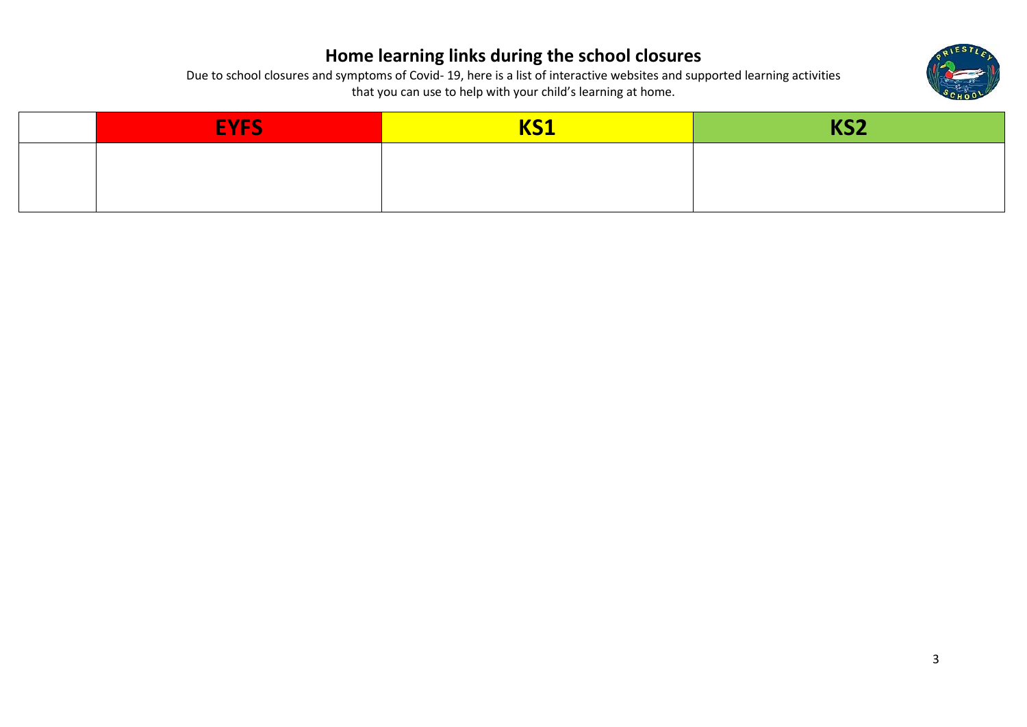

| <b>EYFS</b> | <b>I/C1</b><br><u>кэт</u> | KCO<br><b>INJE</b> |
|-------------|---------------------------|--------------------|
|             |                           |                    |
|             |                           |                    |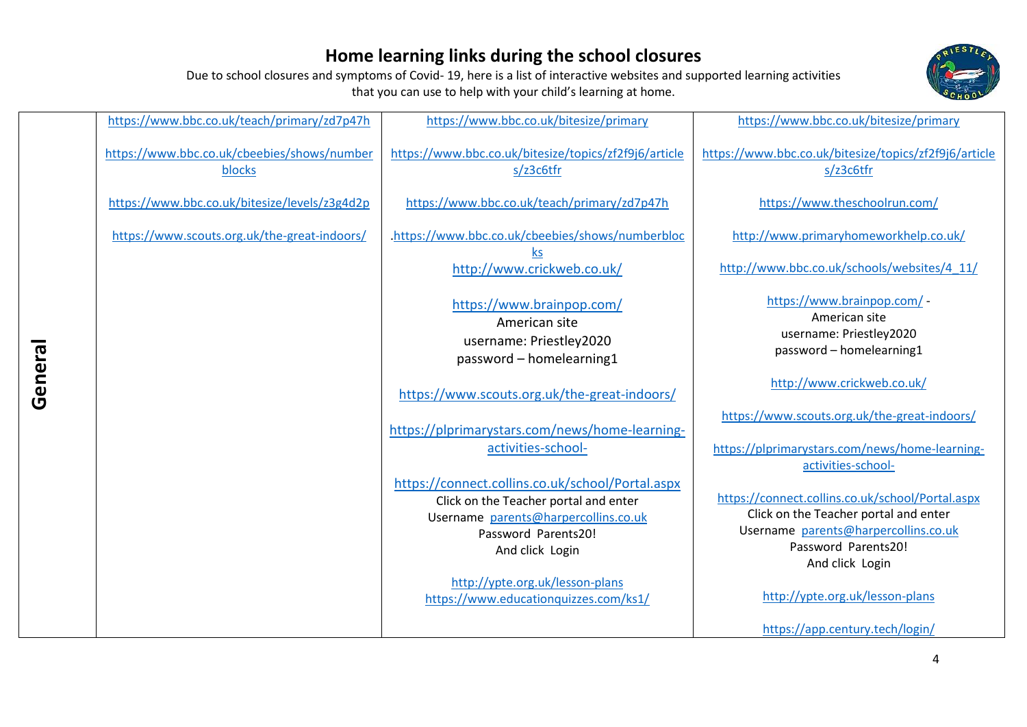Due to school closures and symptoms of Covid- 19, here is a list of interactive websites and supported learning activities that you can use to help with your child's learning at home.



| https://www.bbc.co.uk/teach/primary/zd7p47h           | https://www.bbc.co.uk/bitesize/primary                                                                                                                                      | https://www.bbc.co.uk/bitesize/primary                                                                                                                                      |
|-------------------------------------------------------|-----------------------------------------------------------------------------------------------------------------------------------------------------------------------------|-----------------------------------------------------------------------------------------------------------------------------------------------------------------------------|
| https://www.bbc.co.uk/cbeebies/shows/number<br>blocks | https://www.bbc.co.uk/bitesize/topics/zf2f9j6/article<br>s/z3c6tfr                                                                                                          | https://www.bbc.co.uk/bitesize/topics/zf2f9j6/article<br>s/z3c6tfr                                                                                                          |
| https://www.bbc.co.uk/bitesize/levels/z3g4d2p         | https://www.bbc.co.uk/teach/primary/zd7p47h                                                                                                                                 | https://www.theschoolrun.com/                                                                                                                                               |
| https://www.scouts.org.uk/the-great-indoors/          | .https://www.bbc.co.uk/cbeebies/shows/numberbloc                                                                                                                            | http://www.primaryhomeworkhelp.co.uk/                                                                                                                                       |
|                                                       | <b>ks</b><br>http://www.crickweb.co.uk/                                                                                                                                     | http://www.bbc.co.uk/schools/websites/4_11/                                                                                                                                 |
|                                                       | https://www.brainpop.com/<br>American site<br>username: Priestley2020<br>password - homelearning1                                                                           | https://www.brainpop.com/ -<br>American site<br>username: Priestley2020<br>password - homelearning1                                                                         |
|                                                       | https://www.scouts.org.uk/the-great-indoors/                                                                                                                                | http://www.crickweb.co.uk/                                                                                                                                                  |
|                                                       | https://plprimarystars.com/news/home-learning-                                                                                                                              | https://www.scouts.org.uk/the-great-indoors/                                                                                                                                |
|                                                       | activities-school-                                                                                                                                                          | https://plprimarystars.com/news/home-learning-<br>activities-school-                                                                                                        |
|                                                       | https://connect.collins.co.uk/school/Portal.aspx<br>Click on the Teacher portal and enter<br>Username parents@harpercollins.co.uk<br>Password Parents20!<br>And click Login | https://connect.collins.co.uk/school/Portal.aspx<br>Click on the Teacher portal and enter<br>Username parents@harpercollins.co.uk<br>Password Parents20!<br>And click Login |
|                                                       | http://ypte.org.uk/lesson-plans<br>https://www.educationquizzes.com/ks1/                                                                                                    | http://ypte.org.uk/lesson-plans                                                                                                                                             |
|                                                       |                                                                                                                                                                             | https://app.century.tech/login/                                                                                                                                             |

**General**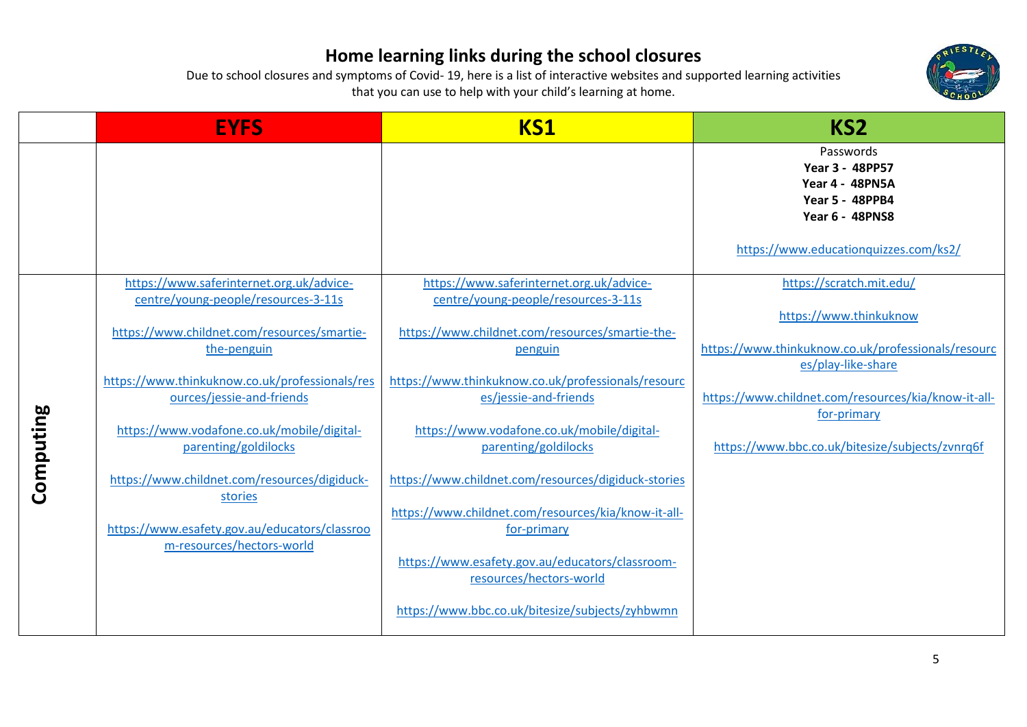

|           | <b>EYFS</b>                                                                                                                                                                                                                                                                                                                                                                                                    | <b>KS1</b>                                                                                                                                                                                                                                                                                                                                                                                                                      | KS <sub>2</sub>                                                                                                                                                                                                                                         |
|-----------|----------------------------------------------------------------------------------------------------------------------------------------------------------------------------------------------------------------------------------------------------------------------------------------------------------------------------------------------------------------------------------------------------------------|---------------------------------------------------------------------------------------------------------------------------------------------------------------------------------------------------------------------------------------------------------------------------------------------------------------------------------------------------------------------------------------------------------------------------------|---------------------------------------------------------------------------------------------------------------------------------------------------------------------------------------------------------------------------------------------------------|
|           |                                                                                                                                                                                                                                                                                                                                                                                                                |                                                                                                                                                                                                                                                                                                                                                                                                                                 | Passwords<br>Year 3 - 48PP57<br><b>Year 4 - 48PN5A</b><br><b>Year 5 - 48PPB4</b><br><b>Year 6 - 48PNS8</b><br>https://www.educationquizzes.com/ks2/                                                                                                     |
| Computing | https://www.saferinternet.org.uk/advice-<br>centre/young-people/resources-3-11s<br>https://www.childnet.com/resources/smartie-<br>the-penguin<br>https://www.thinkuknow.co.uk/professionals/res<br>ources/jessie-and-friends<br>https://www.vodafone.co.uk/mobile/digital-<br>parenting/goldilocks<br>https://www.childnet.com/resources/digiduck-<br>stories<br>https://www.esafety.gov.au/educators/classroo | https://www.saferinternet.org.uk/advice-<br>centre/young-people/resources-3-11s<br>https://www.childnet.com/resources/smartie-the-<br>penguin<br>https://www.thinkuknow.co.uk/professionals/resourc<br>es/jessie-and-friends<br>https://www.vodafone.co.uk/mobile/digital-<br>parenting/goldilocks<br>https://www.childnet.com/resources/digiduck-stories<br>https://www.childnet.com/resources/kia/know-it-all-<br>for-primary | https://scratch.mit.edu/<br>https://www.thinkuknow<br>https://www.thinkuknow.co.uk/professionals/resourc<br>es/play-like-share<br>https://www.childnet.com/resources/kia/know-it-all-<br>for-primary<br>https://www.bbc.co.uk/bitesize/subjects/zvnrq6f |
|           | m-resources/hectors-world                                                                                                                                                                                                                                                                                                                                                                                      | https://www.esafety.gov.au/educators/classroom-<br>resources/hectors-world<br>https://www.bbc.co.uk/bitesize/subjects/zyhbwmn                                                                                                                                                                                                                                                                                                   |                                                                                                                                                                                                                                                         |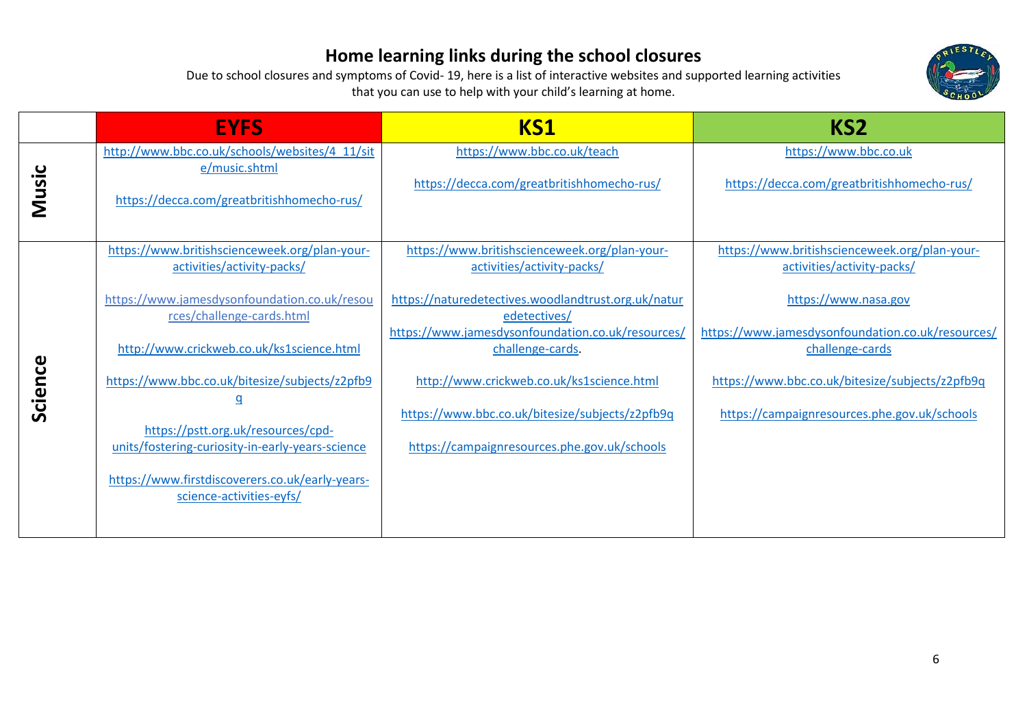

|         | <b>EYFS</b>                                                                 | KS1                                                                         | KS <sub>2</sub>                                                             |
|---------|-----------------------------------------------------------------------------|-----------------------------------------------------------------------------|-----------------------------------------------------------------------------|
|         | http://www.bbc.co.uk/schools/websites/4_11/sit<br>e/music.shtml             | https://www.bbc.co.uk/teach                                                 | https://www.bbc.co.uk                                                       |
| Music   | https://decca.com/greatbritishhomecho-rus/                                  | https://decca.com/greatbritishhomecho-rus/                                  | https://decca.com/greatbritishhomecho-rus/                                  |
|         | https://www.britishscienceweek.org/plan-your-<br>activities/activity-packs/ | https://www.britishscienceweek.org/plan-your-<br>activities/activity-packs/ | https://www.britishscienceweek.org/plan-your-<br>activities/activity-packs/ |
|         | https://www.jamesdysonfoundation.co.uk/resou<br>rces/challenge-cards.html   | https://naturedetectives.woodlandtrust.org.uk/natur<br>edetectives/         | https://www.nasa.gov                                                        |
|         | http://www.crickweb.co.uk/ks1science.html                                   | https://www.jamesdysonfoundation.co.uk/resources/<br>challenge-cards.       | https://www.jamesdysonfoundation.co.uk/resources/<br>challenge-cards        |
| Science | https://www.bbc.co.uk/bitesize/subjects/z2pfb9                              | http://www.crickweb.co.uk/ks1science.html                                   | https://www.bbc.co.uk/bitesize/subjects/z2pfb9q                             |
|         | <u>q</u><br>https://pstt.org.uk/resources/cpd-                              | https://www.bbc.co.uk/bitesize/subjects/z2pfb9q                             | https://campaignresources.phe.gov.uk/schools                                |
|         | units/fostering-curiosity-in-early-years-science                            | https://campaignresources.phe.gov.uk/schools                                |                                                                             |
|         | https://www.firstdiscoverers.co.uk/early-years-<br>science-activities-eyfs/ |                                                                             |                                                                             |
|         |                                                                             |                                                                             |                                                                             |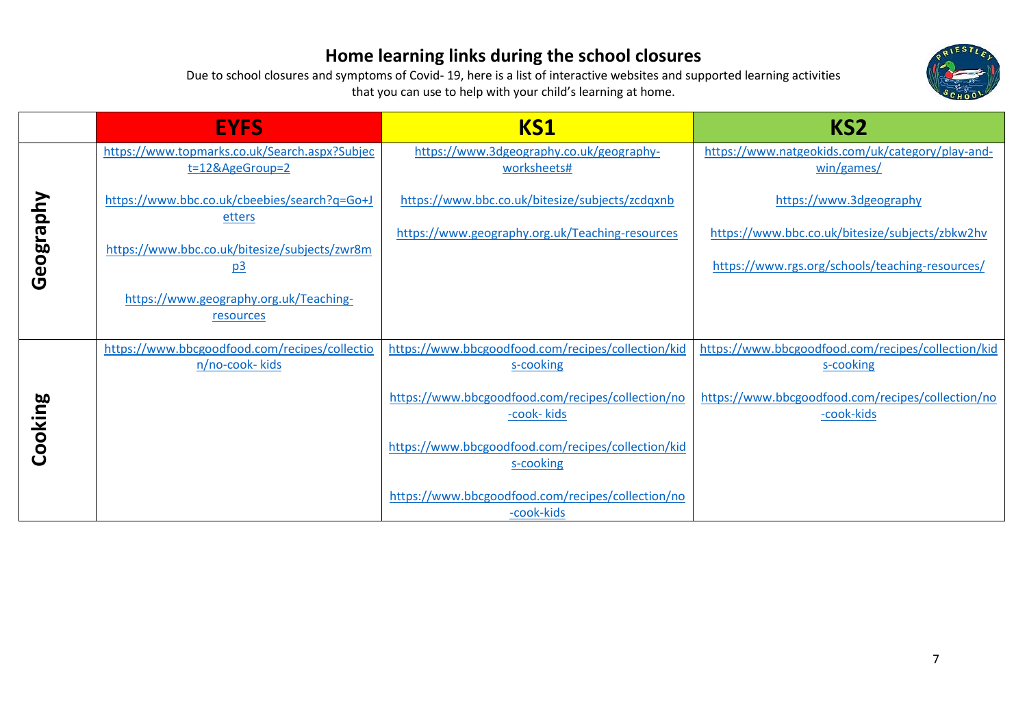

|           | <b>EYFS</b>                                                      | <b>KS1</b>                                                       | KS <sub>2</sub>                                                                                    |
|-----------|------------------------------------------------------------------|------------------------------------------------------------------|----------------------------------------------------------------------------------------------------|
|           | https://www.topmarks.co.uk/Search.aspx?Subjec<br>t=12&AgeGroup=2 | https://www.3dgeography.co.uk/geography-<br>worksheets#          | https://www.natgeokids.com/uk/category/play-and-<br>win/games/                                     |
|           | https://www.bbc.co.uk/cbeebies/search?q=Go+J<br>etters           | https://www.bbc.co.uk/bitesize/subjects/zcdqxnb                  | https://www.3dgeography                                                                            |
| Geography | https://www.bbc.co.uk/bitesize/subjects/zwr8m<br><u>p3</u>       | https://www.geography.org.uk/Teaching-resources                  | https://www.bbc.co.uk/bitesize/subjects/zbkw2hv<br>https://www.rgs.org/schools/teaching-resources/ |
|           | https://www.geography.org.uk/Teaching-<br>resources              |                                                                  |                                                                                                    |
|           | https://www.bbcgoodfood.com/recipes/collectio<br>n/no-cook- kids | https://www.bbcgoodfood.com/recipes/collection/kid<br>s-cooking  | https://www.bbcgoodfood.com/recipes/collection/kid<br>s-cooking                                    |
| Cooking   |                                                                  | https://www.bbcgoodfood.com/recipes/collection/no<br>-cook- kids | https://www.bbcgoodfood.com/recipes/collection/no<br>-cook-kids                                    |
|           |                                                                  | https://www.bbcgoodfood.com/recipes/collection/kid<br>s-cooking  |                                                                                                    |
|           |                                                                  | https://www.bbcgoodfood.com/recipes/collection/no<br>-cook-kids  |                                                                                                    |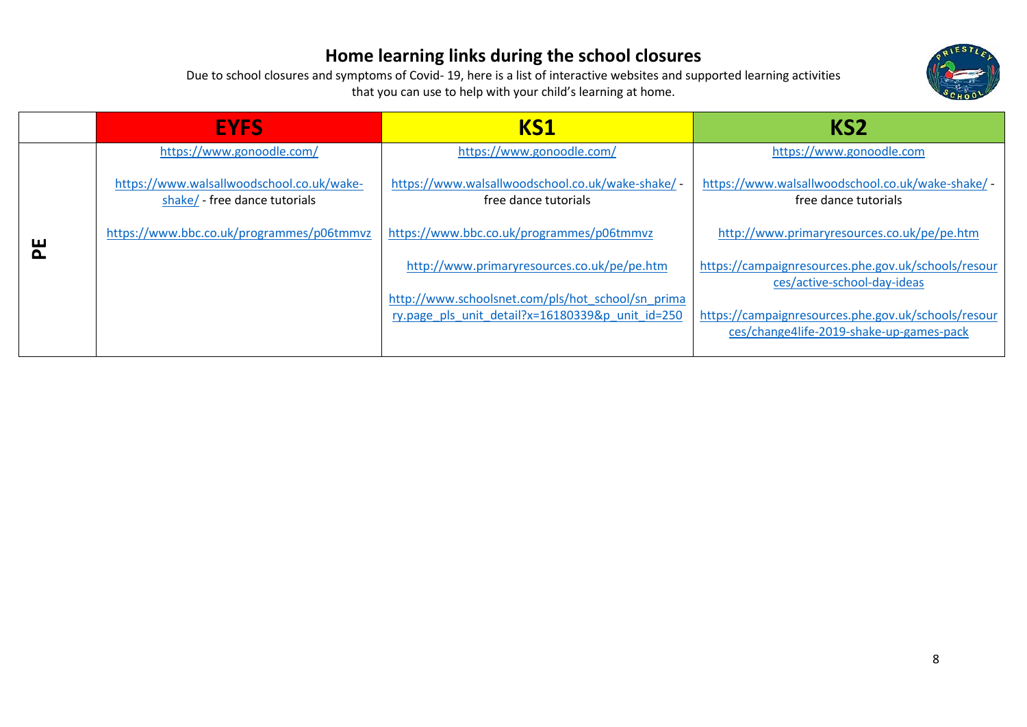

|   | <b>EYFS</b>                                                                | KS1                                                                                                   | KS <sub>2</sub>                                                                                 |
|---|----------------------------------------------------------------------------|-------------------------------------------------------------------------------------------------------|-------------------------------------------------------------------------------------------------|
|   | https://www.gonoodle.com/                                                  | https://www.gonoodle.com/                                                                             | https://www.gonoodle.com                                                                        |
|   | https://www.walsallwoodschool.co.uk/wake-<br>shake/ - free dance tutorials | https://www.walsallwoodschool.co.uk/wake-shake/ -<br>free dance tutorials                             | https://www.walsallwoodschool.co.uk/wake-shake/ -<br>free dance tutorials                       |
| 씬 | https://www.bbc.co.uk/programmes/p06tmmvz                                  | https://www.bbc.co.uk/programmes/p06tmmvz                                                             | http://www.primaryresources.co.uk/pe/pe.htm                                                     |
|   |                                                                            | http://www.primaryresources.co.uk/pe/pe.htm                                                           | https://campaignresources.phe.gov.uk/schools/resour<br>ces/active-school-day-ideas              |
|   |                                                                            | http://www.schoolsnet.com/pls/hot_school/sn_prima<br>ry.page pls unit detail?x=16180339&p unit id=250 | https://campaignresources.phe.gov.uk/schools/resour<br>ces/change4life-2019-shake-up-games-pack |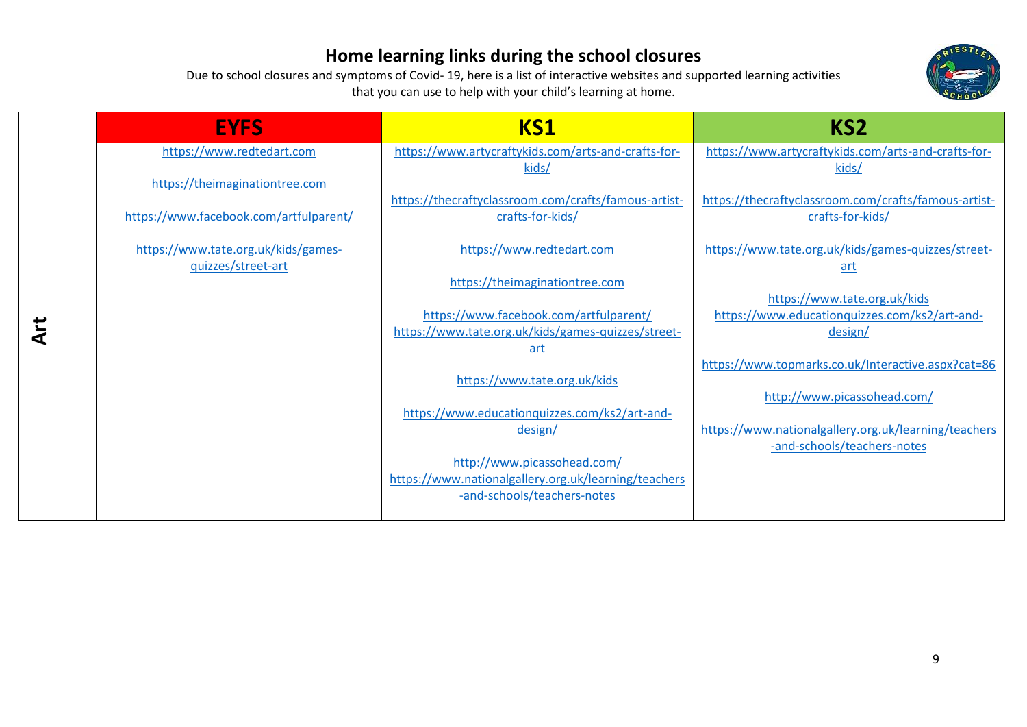

| <b>EYFS</b>                            | KS1                                                                                 | KS <sub>2</sub>                                                                     |
|----------------------------------------|-------------------------------------------------------------------------------------|-------------------------------------------------------------------------------------|
| https://www.redtedart.com              | https://www.artycraftykids.com/arts-and-crafts-for-                                 | https://www.artycraftykids.com/arts-and-crafts-for-                                 |
| https://theimaginationtree.com         | kids/                                                                               | kids/                                                                               |
| https://www.facebook.com/artfulparent/ | https://thecraftyclassroom.com/crafts/famous-artist-<br>crafts-for-kids/            | https://thecraftyclassroom.com/crafts/famous-artist-<br>crafts-for-kids/            |
| https://www.tate.org.uk/kids/games-    | https://www.redtedart.com                                                           | https://www.tate.org.uk/kids/games-quizzes/street-                                  |
| quizzes/street-art                     | https://theimaginationtree.com                                                      | art                                                                                 |
|                                        | https://www.facebook.com/artfulparent/                                              | https://www.tate.org.uk/kids<br>https://www.educationquizzes.com/ks2/art-and-       |
|                                        | https://www.tate.org.uk/kids/games-quizzes/street-<br><u>art</u>                    | design/                                                                             |
|                                        |                                                                                     | https://www.topmarks.co.uk/Interactive.aspx?cat=86                                  |
|                                        | https://www.tate.org.uk/kids                                                        |                                                                                     |
|                                        | https://www.educationquizzes.com/ks2/art-and-                                       | http://www.picassohead.com/                                                         |
|                                        | design/                                                                             | https://www.nationalgallery.org.uk/learning/teachers<br>-and-schools/teachers-notes |
|                                        | http://www.picassohead.com/                                                         |                                                                                     |
|                                        | https://www.nationalgallery.org.uk/learning/teachers<br>-and-schools/teachers-notes |                                                                                     |
|                                        |                                                                                     |                                                                                     |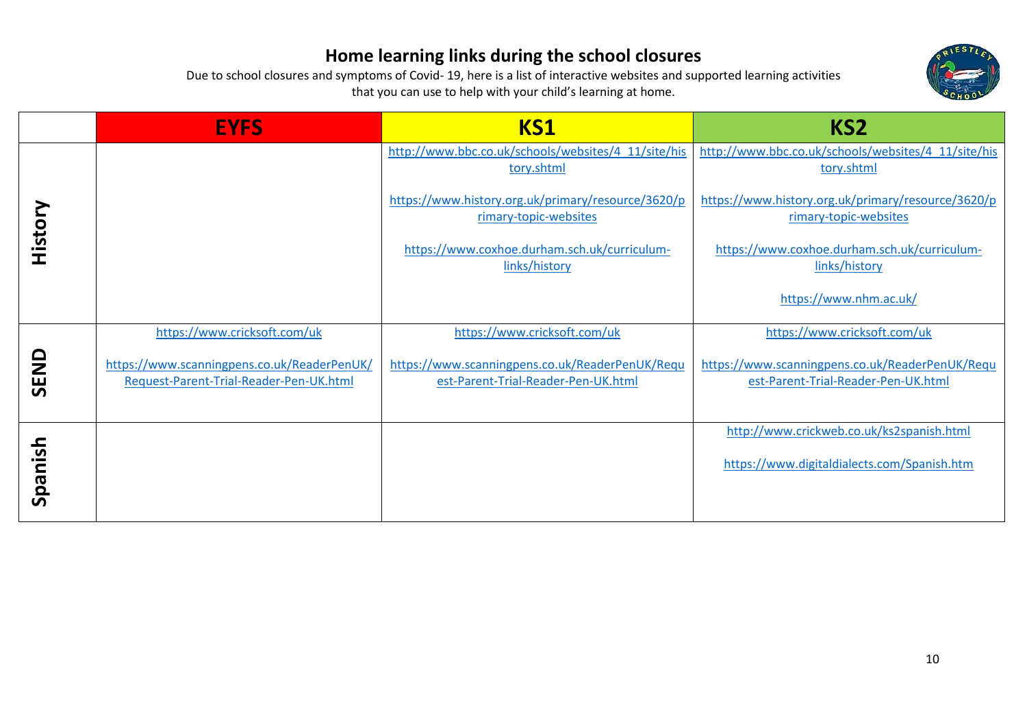

|         | <b>EYFS</b>                                                                            | KS1                                                                                    | KS <sub>2</sub>                                                                        |
|---------|----------------------------------------------------------------------------------------|----------------------------------------------------------------------------------------|----------------------------------------------------------------------------------------|
|         |                                                                                        | http://www.bbc.co.uk/schools/websites/4_11/site/his<br>tory.shtml                      | http://www.bbc.co.uk/schools/websites/4_11/site/his<br>tory.shtml                      |
| History |                                                                                        | https://www.history.org.uk/primary/resource/3620/p<br>rimary-topic-websites            | https://www.history.org.uk/primary/resource/3620/p<br>rimary-topic-websites            |
|         |                                                                                        | https://www.coxhoe.durham.sch.uk/curriculum-<br>links/history                          | https://www.coxhoe.durham.sch.uk/curriculum-<br>links/history                          |
|         |                                                                                        |                                                                                        | https://www.nhm.ac.uk/                                                                 |
|         | https://www.cricksoft.com/uk                                                           | https://www.cricksoft.com/uk                                                           | https://www.cricksoft.com/uk                                                           |
| SEND    | https://www.scanningpens.co.uk/ReaderPenUK/<br>Request-Parent-Trial-Reader-Pen-UK.html | https://www.scanningpens.co.uk/ReaderPenUK/Requ<br>est-Parent-Trial-Reader-Pen-UK.html | https://www.scanningpens.co.uk/ReaderPenUK/Requ<br>est-Parent-Trial-Reader-Pen-UK.html |
|         |                                                                                        |                                                                                        | http://www.crickweb.co.uk/ks2spanish.html                                              |
|         |                                                                                        |                                                                                        | https://www.digitaldialects.com/Spanish.htm                                            |
| Spanish |                                                                                        |                                                                                        |                                                                                        |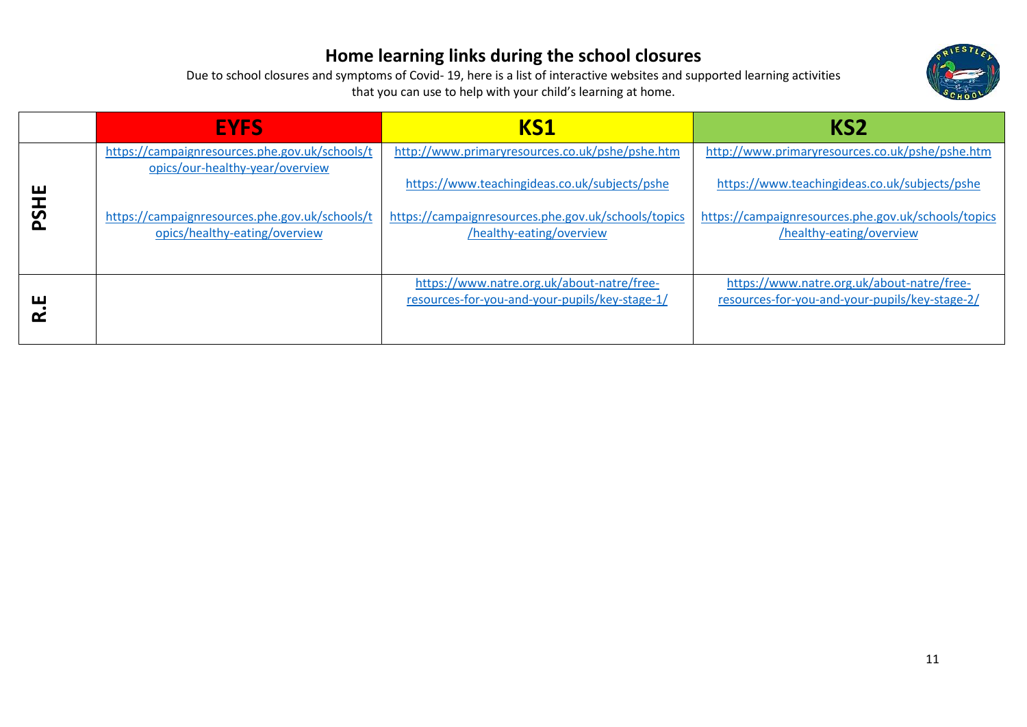

|              | <b>EYFS</b>                                                                       | KS1                                                                                          | KS <sub>2</sub>                                                                              |
|--------------|-----------------------------------------------------------------------------------|----------------------------------------------------------------------------------------------|----------------------------------------------------------------------------------------------|
|              | https://campaignresources.phe.gov.uk/schools/t<br>opics/our-healthy-year/overview | http://www.primaryresources.co.uk/pshe/pshe.htm                                              | http://www.primaryresources.co.uk/pshe/pshe.htm                                              |
| ш            |                                                                                   | https://www.teachingideas.co.uk/subjects/pshe                                                | https://www.teachingideas.co.uk/subjects/pshe                                                |
| $\mathbf{S}$ | https://campaignresources.phe.gov.uk/schools/t<br>opics/healthy-eating/overview   | https://campaignresources.phe.gov.uk/schools/topics<br>/healthy-eating/overview              | https://campaignresources.phe.gov.uk/schools/topics<br>/healthy-eating/overview              |
|              |                                                                                   |                                                                                              |                                                                                              |
| ய            |                                                                                   | https://www.natre.org.uk/about-natre/free-<br>resources-for-you-and-your-pupils/key-stage-1/ | https://www.natre.org.uk/about-natre/free-<br>resources-for-you-and-your-pupils/key-stage-2/ |
|              |                                                                                   |                                                                                              |                                                                                              |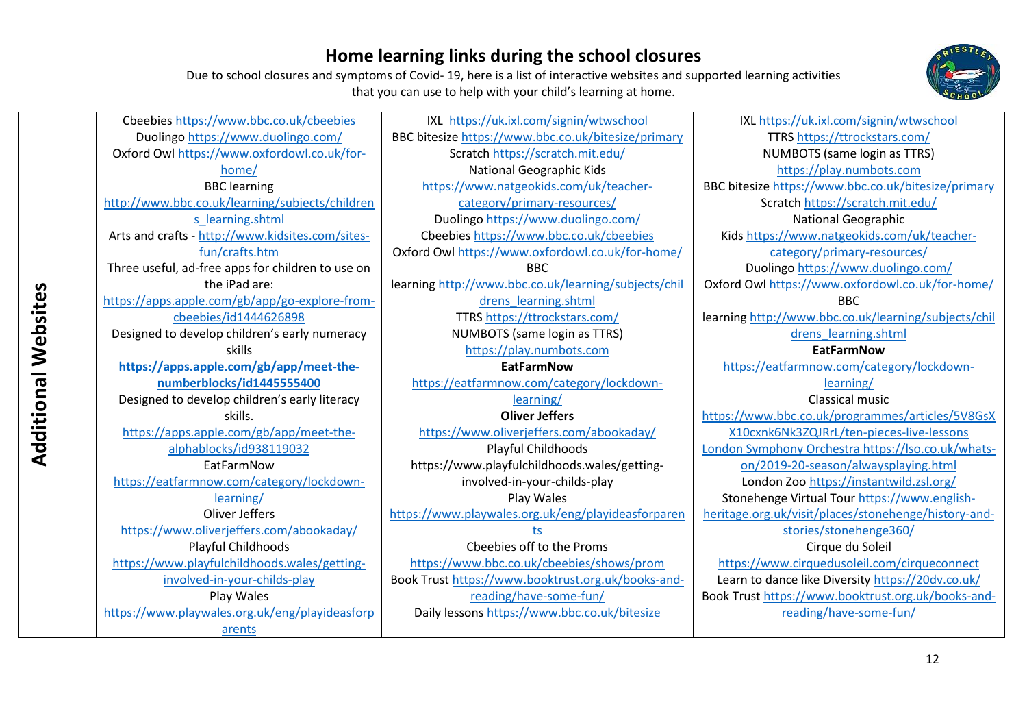

Due to school closures and symptoms of Covid- 19, here is a list of interactive websites and supported learning activities that you can use to help with your child's learning at home.

Duolingo<https://www.duolingo.com/> Oxford Owl [https://www.oxfordowl.co.uk/for](https://www.oxfordowl.co.uk/for-home/)[home/](https://www.oxfordowl.co.uk/for-home/) BBC learning [http://www.bbc.co.uk/learning/subjects/children](http://www.bbc.co.uk/learning/subjects/childrens_learning.shtml) [s\\_learning.shtml](http://www.bbc.co.uk/learning/subjects/childrens_learning.shtml) Arts and crafts - [http://www.kidsites.com/sites](http://www.kidsites.com/sites-fun/crafts.htm)[fun/crafts.htm](http://www.kidsites.com/sites-fun/crafts.htm) Three useful, ad-free apps for children to use on **Additional Websites**  the iPad are: Additional Websites [https://apps.apple.com/gb/app/go-explore-from](https://apps.apple.com/gb/app/go-explore-from-cbeebies/id1444626898)[cbeebies/id1444626898](https://apps.apple.com/gb/app/go-explore-from-cbeebies/id1444626898) Designed to develop children's early numeracy skills **[https://apps.apple.com/gb/app/meet-the](https://apps.apple.com/gb/app/meet-the-numberblocks/id1445555400)[numberblocks/id1445555400](https://apps.apple.com/gb/app/meet-the-numberblocks/id1445555400)** Designed to develop children's early literacy skills. [https://apps.apple.com/gb/app/meet-the](https://apps.apple.com/gb/app/meet-the-alphablocks/id938119032)[alphablocks/id938119032](https://apps.apple.com/gb/app/meet-the-alphablocks/id938119032) EatFarmNow [https://eatfarmnow.com/category/lockdown](https://eatfarmnow.com/category/lockdown-learning/)[learning/](https://eatfarmnow.com/category/lockdown-learning/) Oliver Jeffers <https://www.oliverjeffers.com/abookaday/>

Playful Childhoods [https://www.playfulchildhoods.wales/getting-](https://www.playfulchildhoods.wales/getting-involved-in-your-childs-play)

Cbeebies [https://www.bbc.co.uk/cbeebies](https://www.duolingo.com/)

[involved-in-your-childs-play](https://www.playfulchildhoods.wales/getting-involved-in-your-childs-play)

Play Wales [https://www.playwales.org.uk/eng/playideasforp](https://www.playwales.org.uk/eng/playideasforparents) [arents](https://www.playwales.org.uk/eng/playideasforparents)

IXL <https://uk.ixl.com/signin/wtwschool> BBC bitesize<https://www.bbc.co.uk/bitesize/primary> Scratch<https://scratch.mit.edu/> National Geographic Kids [https://www.natgeokids.com/uk/teacher](https://www.natgeokids.com/uk/teacher-category/primary-resources/)[category/primary-resources/](https://www.natgeokids.com/uk/teacher-category/primary-resources/) Duolingo <https://www.duolingo.com/> Cbeebies [https://www.bbc.co.uk/cbeebies](https://www.duolingo.com/) Oxford Owl <https://www.oxfordowl.co.uk/for-home/> BBC learning [http://www.bbc.co.uk/learning/subjects/chil](http://www.bbc.co.uk/learning/subjects/childrens_learning.shtml) [drens\\_learning.shtml](http://www.bbc.co.uk/learning/subjects/childrens_learning.shtml) TTRS<https://ttrockstars.com/> NUMBOTS (same login as TTRS) [https://play.numbots.com](https://play.numbots.com/) **EatFarmNow**  [https://eatfarmnow.com/category/lockdown](https://eatfarmnow.com/category/lockdown-learning/)[learning/](https://eatfarmnow.com/category/lockdown-learning/) **Oliver Jeffers** <https://www.oliverjeffers.com/abookaday/> Playful Childhoods https://www.playfulchildhoods.wales/gettinginvolved-in-your-childs-play Play Wales [https://www.playwales.org.uk/eng/playideasforparen](https://www.playwales.org.uk/eng/playideasforparents) [ts](https://www.playwales.org.uk/eng/playideasforparents) Cbeebies off to the Proms <https://www.bbc.co.uk/cbeebies/shows/prom> Book Trus[t https://www.booktrust.org.uk/books-and](https://www.booktrust.org.uk/books-and-reading/have-some-fun/)[reading/have-some-fun/](https://www.booktrust.org.uk/books-and-reading/have-some-fun/)

Daily lessons<https://www.bbc.co.uk/bitesize>

IXL<https://uk.ixl.com/signin/wtwschool> TTRS<https://ttrockstars.com/> NUMBOTS (same login as TTRS) [https://play.numbots.com](https://play.numbots.com/) BBC bitesize <https://www.bbc.co.uk/bitesize/primary> Scratch <https://scratch.mit.edu/> National Geographic Kids [https://www.natgeokids.com/uk/teacher](https://www.natgeokids.com/uk/teacher-category/primary-resources/)[category/primary-resources/](https://www.natgeokids.com/uk/teacher-category/primary-resources/) Duolingo <https://www.duolingo.com/> Oxford Owl <https://www.oxfordowl.co.uk/for-home/> **BBC** learning [http://www.bbc.co.uk/learning/subjects/chil](http://www.bbc.co.uk/learning/subjects/childrens_learning.shtml) [drens\\_learning.shtml](http://www.bbc.co.uk/learning/subjects/childrens_learning.shtml) **EatFarmNow**  [https://eatfarmnow.com/category/lockdown](https://eatfarmnow.com/category/lockdown-learning/)[learning/](https://eatfarmnow.com/category/lockdown-learning/) Classical music [https://www.bbc.co.uk/programmes/articles/5V8GsX](https://www.bbc.co.uk/programmes/articles/5V8GsXX10cxnk6Nk3ZQJRrL/ten-pieces-live-lessons) [X10cxnk6Nk3ZQJRrL/ten-pieces-live-lessons](https://www.bbc.co.uk/programmes/articles/5V8GsXX10cxnk6Nk3ZQJRrL/ten-pieces-live-lessons) [London Symphony Orchestra https://lso.co.uk/whats](https://lso.co.uk/whats-on/2019-20-season/alwaysplaying.html)[on/2019-20-season/alwaysplaying.html](https://lso.co.uk/whats-on/2019-20-season/alwaysplaying.html) London Zoo<https://instantwild.zsl.org/> Stonehenge Virtual Tou[r https://www.english-](https://www.english-heritage.org.uk/visit/places/stonehenge/history-and-stories/stonehenge360/)

[heritage.org.uk/visit/places/stonehenge/history-and-](https://www.english-heritage.org.uk/visit/places/stonehenge/history-and-stories/stonehenge360/)

[stories/stonehenge360/](https://www.english-heritage.org.uk/visit/places/stonehenge/history-and-stories/stonehenge360/)

Cirque du Soleil

<https://www.cirquedusoleil.com/cirqueconnect> Learn to dance like Diversity<https://20dv.co.uk/> Book Trust [https://www.booktrust.org.uk/books-and](https://www.booktrust.org.uk/books-and-reading/have-some-fun/)[reading/have-some-fun/](https://www.booktrust.org.uk/books-and-reading/have-some-fun/)